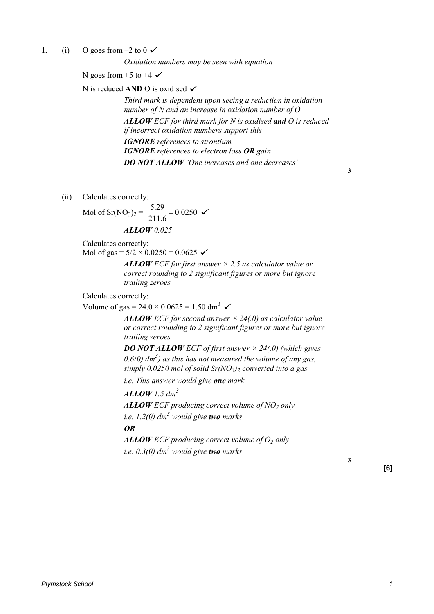**1.** (i) O goes from  $-2$  to  $0 \checkmark$ 

*Oxidation numbers may be seen with equation* 

N goes from  $+5$  to  $+4 \checkmark$ 

N is reduced **AND** O is oxidised **✓** 

*Third mark is dependent upon seeing a reduction in oxidation number of N and an increase in oxidation number of O ALLOW ECF for third mark for N is oxidised and O is reduced if incorrect oxidation numbers support this IGNORE references to strontium IGNORE references to electron loss OR gain DO NOT ALLOW 'One increases and one decreases'* 

**3** 

(ii) Calculates correctly:

Mod of Sr(NO<sub>3</sub>)<sub>2</sub> = 
$$
\frac{5.29}{211.6} = 0.0250 \, \text{V}
$$

\n**ALLOW** 0.025

Calculates correctly:

Mol of gas =  $5/2 \times 0.0250 = 0.0625$ 

*ALLOW ECF for first answer × 2.5 as calculator value or correct rounding to 2 significant figures or more but ignore trailing zeroes* 

Calculates correctly:

Volume of gas =  $24.0 \times 0.0625 = 1.50$  dm<sup>3</sup>  $\checkmark$ 

*ALLOW ECF for second answer × 24(.0) as calculator value or correct rounding to 2 significant figures or more but ignore trailing zeroes* 

*DO NOT ALLOW ECF of first answer × 24(.0) (which gives*   $0.6(0)$  dm<sup>3</sup>) as this has not measured the volume of any gas, *simply 0.0250 mol of solid Sr(NO<sup>3</sup> )2 converted into a gas* 

*i.e. This answer would give one mark* 

*ALLOW 1.5 dm<sup>3</sup>*

*ALLOW ECF producing correct volume of NO<sup>2</sup> only* 

*i.e. 1.2(0) dm<sup>3</sup> would give two marks* 

*OR*

*ALLOW ECF producing correct volume of O<sup>2</sup> only i.e. 0.3(0) dm<sup>3</sup> would give two marks* 

**[6]** 

**3**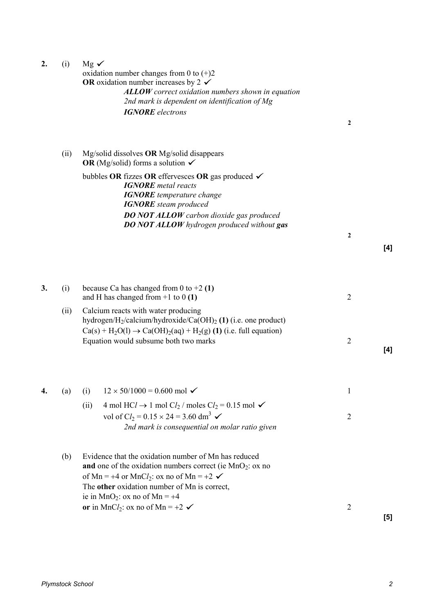| 2. | (i)  | $Mg \checkmark$<br>oxidation number changes from 0 to $(+)2$<br>OR oxidation number increases by 2 $\checkmark$<br><b>ALLOW</b> correct oxidation numbers shown in equation<br>2nd mark is dependent on identification of Mg<br><b>IGNORE</b> electrons                               | $\boldsymbol{2}$ |       |
|----|------|---------------------------------------------------------------------------------------------------------------------------------------------------------------------------------------------------------------------------------------------------------------------------------------|------------------|-------|
|    | (ii) | Mg/solid dissolves OR Mg/solid disappears<br>OR (Mg/solid) forms a solution $\checkmark$                                                                                                                                                                                              |                  |       |
|    |      | bubbles OR fizzes OR effervesces OR gas produced $\checkmark$<br><b>IGNORE</b> metal reacts<br><b>IGNORE</b> temperature change<br><b>IGNORE</b> steam produced                                                                                                                       |                  |       |
|    |      | <b>DO NOT ALLOW</b> carbon dioxide gas produced<br><b>DO NOT ALLOW</b> hydrogen produced without gas                                                                                                                                                                                  | $\boldsymbol{2}$ | [4]   |
| 3. | (i)  | because Ca has changed from 0 to $+2$ (1)<br>and H has changed from $+1$ to 0 (1)                                                                                                                                                                                                     | $\overline{2}$   |       |
|    | (ii) | Calcium reacts with water producing<br>hydrogen/H <sub>2</sub> /calcium/hydroxide/Ca(OH) <sub>2</sub> (1) (i.e. one product)<br>$Ca(s) + H_2O(l) \rightarrow Ca(OH)_2(aq) + H_2(g)$ (1) (i.e. full equation)<br>Equation would subsume both two marks                                 | $\overline{2}$   | [4]   |
|    |      |                                                                                                                                                                                                                                                                                       |                  |       |
| 4. | (a)  | $12 \times 50/1000 = 0.600$ mol $\checkmark$<br>(i)                                                                                                                                                                                                                                   | 1                |       |
|    |      | 4 mol HCl $\rightarrow$ 1 mol Cl <sub>2</sub> / moles Cl <sub>2</sub> = 0.15 mol $\checkmark$<br>(ii)<br>vol of Cl <sub>2</sub> = $0.15 \times 24 = 3.60$ dm <sup>3</sup> $\checkmark$<br>2nd mark is consequential on molar ratio given                                              | $\overline{2}$   |       |
|    | (b)  | Evidence that the oxidation number of Mn has reduced<br>and one of the oxidation numbers correct (ie $MnO2$ : ox no<br>of Mn = +4 or MnCl <sub>2</sub> : ox no of Mn = +2 $\checkmark$<br>The other oxidation number of Mn is correct,<br>ie in MnO <sub>2</sub> : ox no of Mn = $+4$ |                  |       |
|    |      | or in MnCl <sub>2</sub> : ox no of Mn = +2 $\checkmark$                                                                                                                                                                                                                               | $\overline{2}$   | $[5]$ |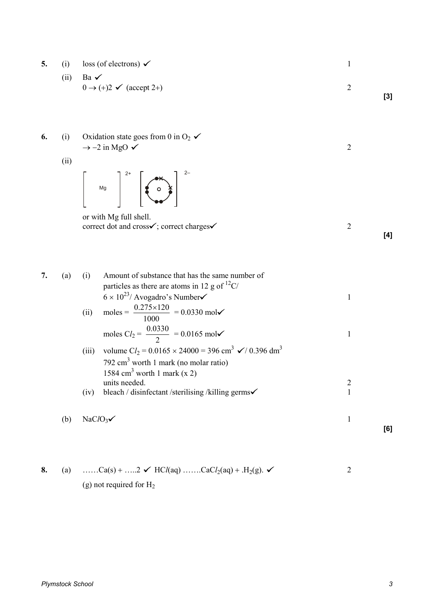| 5. | (i)<br>(ii) | $\cos$ (of electrons) $\checkmark$<br>Ba $\checkmark$<br>$0 \rightarrow (+)2 \checkmark$ (accept 2+)                                                                                                                                                                                  | $\mathbf{1}$<br>$\overline{2}$ | $[3]$ |
|----|-------------|---------------------------------------------------------------------------------------------------------------------------------------------------------------------------------------------------------------------------------------------------------------------------------------|--------------------------------|-------|
| 6. | (i)<br>(ii) | Oxidation state goes from 0 in $O_2 \checkmark$<br>$\rightarrow$ -2 in MgO $\checkmark$<br>$\begin{vmatrix} 1 & 0 \\ 0 & 1 \end{vmatrix}$                                                                                                                                             | $\overline{2}$                 |       |
|    |             | or with Mg full shell.<br>correct dot and cross√; correct charges√                                                                                                                                                                                                                    | $\overline{2}$                 | [4]   |
| 7. | (a)         | Amount of substance that has the same number of<br>(i)<br>particles as there are atoms in 12 g of $^{12}$ C/<br>$6 \times 10^{23}$ / Avogadro's Number<br>moles = $\frac{0.275 \times 120}{1000}$ = 0.0330 mol<br>(ii)<br>moles $CI_2 = \frac{0.0330}{2} = 0.0165$ mol $\checkmark$   | 1<br>1                         |       |
|    |             | volume $Cl_2 = 0.0165 \times 24000 = 396$ cm <sup>3</sup> $\checkmark$ / 0.396 dm <sup>3</sup><br>(iii)<br>792 $\text{cm}^3$ worth 1 mark (no molar ratio)<br>1584 cm <sup>3</sup> worth 1 mark $(x 2)$<br>units needed.<br>bleach / disinfectant /sterilising /killing germs<br>(iv) | $\overline{c}$<br>$\mathbf{1}$ |       |
|    | (b)         | NaC $lO_3$                                                                                                                                                                                                                                                                            | $\mathbf{1}$                   | [6]   |

**8.** (a) ……Ca(s) + ……2  $\checkmark$  HC*l*(aq) ……CaC*l*<sub>2</sub>(aq) + .H<sub>2</sub>(g).  $\checkmark$  2 (g) not required for H2